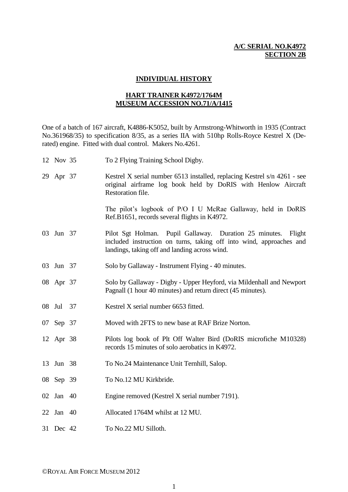## **A/C SERIAL NO.K4972 SECTION 2B**

## **INDIVIDUAL HISTORY**

## **HART TRAINER K4972/1764M MUSEUM ACCESSION NO.71/A/1415**

One of a batch of 167 aircraft, K4886-K5052, built by Armstrong-Whitworth in 1935 (Contract No.361968/35) to specification 8/35, as a series IIA with 510hp Rolls-Royce Kestrel X (Derated) engine. Fitted with dual control. Makers No.4261.

| 12 Nov 35 | To 2 Flying Training School Digby.                                                                                                                                                    |
|-----------|---------------------------------------------------------------------------------------------------------------------------------------------------------------------------------------|
| 29 Apr 37 | Kestrel X serial number 6513 installed, replacing Kestrel s/n 4261 - see<br>original airframe log book held by DoRIS with Henlow Aircraft<br>Restoration file.                        |
|           | The pilot's logbook of P/O I U McRae Gallaway, held in DoRIS<br>Ref.B1651, records several flights in K4972.                                                                          |
| 03 Jun 37 | Pilot Sgt Holman. Pupil Gallaway. Duration 25 minutes. Flight<br>included instruction on turns, taking off into wind, approaches and<br>landings, taking off and landing across wind. |
| 03 Jun 37 | Solo by Gallaway - Instrument Flying - 40 minutes.                                                                                                                                    |
| 08 Apr 37 | Solo by Gallaway - Digby - Upper Heyford, via Mildenhall and Newport<br>Pagnall (1 hour 40 minutes) and return direct (45 minutes).                                                   |
| 08 Jul 37 | Kestrel X serial number 6653 fitted.                                                                                                                                                  |
| 07 Sep 37 | Moved with 2FTS to new base at RAF Brize Norton.                                                                                                                                      |
| 12 Apr 38 | Pilots log book of Plt Off Walter Bird (DoRIS microfiche M10328)<br>records 15 minutes of solo aerobatics in K4972.                                                                   |
| 13 Jun 38 | To No.24 Maintenance Unit Ternhill, Salop.                                                                                                                                            |
| 08 Sep 39 | To No.12 MU Kirkbride.                                                                                                                                                                |
| 02 Jan 40 | Engine removed (Kestrel X serial number 7191).                                                                                                                                        |
| 22 Jan 40 | Allocated 1764M whilst at 12 MU.                                                                                                                                                      |
| 31 Dec 42 | To No.22 MU Silloth.                                                                                                                                                                  |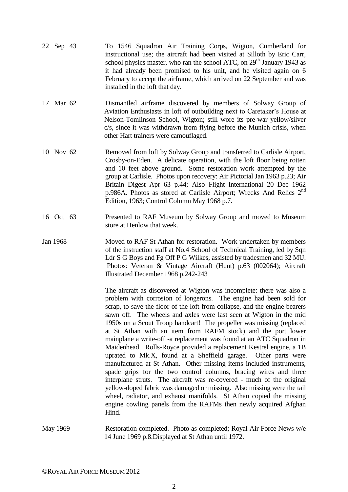- 22 Sep 43 To 1546 Squadron Air Training Corps, Wigton, Cumberland for instructional use; the aircraft had been visited at Silloth by Eric Carr, school physics master, who ran the school ATC, on  $29<sup>th</sup>$  January 1943 as it had already been promised to his unit, and he visited again on 6 February to accept the airframe, which arrived on 22 September and was installed in the loft that day.
- 17 Mar 62 Dismantled airframe discovered by members of Solway Group of Aviation Enthusiasts in loft of outbuilding next to Caretaker's House at Nelson-Tomlinson School, Wigton; still wore its pre-war yellow/silver c/s, since it was withdrawn from flying before the Munich crisis, when other Hart trainers were camouflaged.
- 10 Nov 62 Removed from loft by Solway Group and transferred to Carlisle Airport, Crosby-on-Eden. A delicate operation, with the loft floor being rotten and 10 feet above ground. Some restoration work attempted by the group at Carlisle. Photos upon recovery: Air Pictorial Jan 1963 p.23; Air Britain Digest Apr 63 p.44; Also Flight International 20 Dec 1962 p.986A. Photos as stored at Carlisle Airport; Wrecks And Relics 2<sup>nd</sup> Edition, 1963; Control Column May 1968 p.7.
- 16 Oct 63 Presented to RAF Museum by Solway Group and moved to Museum store at Henlow that week.
- Jan 1968 Moved to RAF St Athan for restoration. Work undertaken by members of the instruction staff at No.4 School of Technical Training, led by Sqn Ldr S G Boys and Fg Off P G Wilkes, assisted by tradesmen and 32 MU. Photos: Veteran & Vintage Aircraft (Hunt) p.63 (002064); Aircraft Illustrated December 1968 p.242-243

 The aircraft as discovered at Wigton was incomplete: there was also a problem with corrosion of longerons. The engine had been sold for scrap, to save the floor of the loft from collapse, and the engine bearers sawn off. The wheels and axles were last seen at Wigton in the mid 1950s on a Scout Troop handcart! The propeller was missing (replaced at St Athan with an item from RAFM stock) and the port lower mainplane a write-off -a replacement was found at an ATC Squadron in Maidenhead. Rolls-Royce provided a replacement Kestrel engine, a 1B uprated to Mk.X, found at a Sheffield garage. Other parts were manufactured at St Athan. Other missing items included instruments, spade grips for the two control columns, bracing wires and three interplane struts. The aircraft was re-covered - much of the original yellow-doped fabric was damaged or missing. Also missing were the tail wheel, radiator, and exhaust manifolds. St Athan copied the missing engine cowling panels from the RAFMs then newly acquired Afghan Hind.

May 1969 Restoration completed. Photo as completed; Royal Air Force News w/e 14 June 1969 p.8.Displayed at St Athan until 1972.